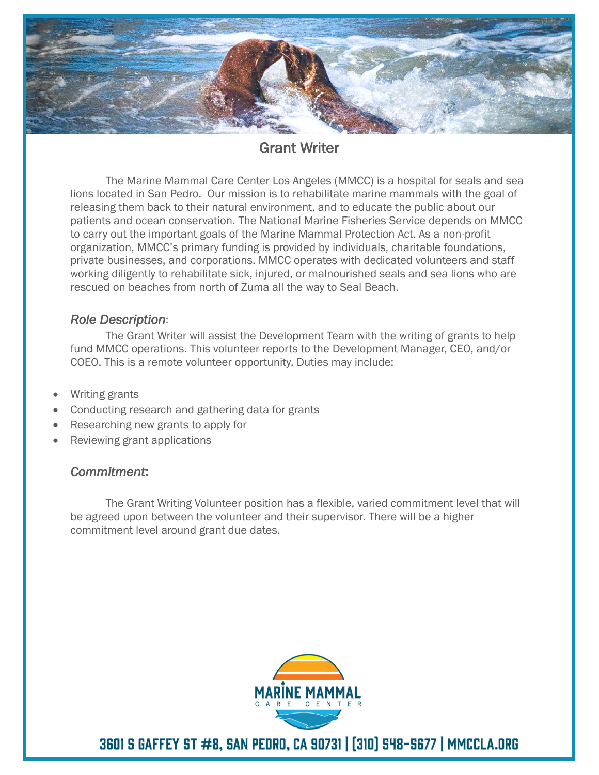

# Grant Writer

The Marine Mammal Care Center Los Angeles (MMCC) is a hospital for seals and sea lions located in San Pedro. Our mission is to rehabilitate marine mammals with the goal of releasing them back to their natural environment, and to educate the public about our patients and ocean conservation. The National Marine Fisheries Service depends on MMCC to carry out the important goals of the Marine Mammal Protection Act. As a non-profit organization, MMCC's primary funding is provided by individuals, charitable foundations, private businesses, and corporations. MMCC operates with dedicated volunteers and staff working diligently to rehabilitate sick, injured, or malnourished seals and sea lions who are rescued on beaches from north of Zuma all the way to Seal Beach.

### *Role Description*:

The Grant Writer will assist the Development Team with the writing of grants to help fund MMCC operations. This volunteer reports to the Development Manager, CEO, and/or COEO. This is a remote volunteer opportunity. Duties may include:

- Writing grants
- Conducting research and gathering data for grants
- Researching new grants to apply for
- Reviewing grant applications

## *Commitment*:

The Grant Writing Volunteer position has a flexible, varied commitment level that will be agreed upon between the volunteer and their supervisor. There will be a higher commitment level around grant due dates.



3601 S GAFFEY ST #8, SAN PEDRO, CA 90731 | [310] 548-5677 | MMCCLA.ORG